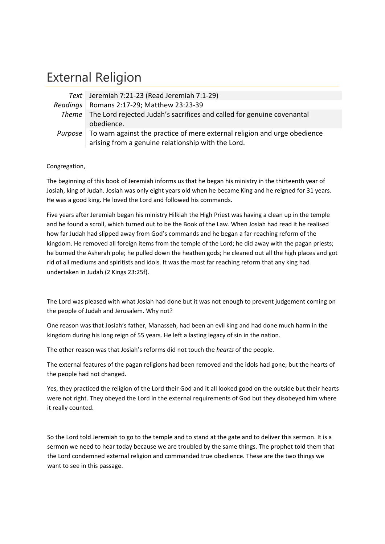## External Religion

| Text   Jeremiah 7:21-23 (Read Jeremiah 7:1-29)                                                                                                 |
|------------------------------------------------------------------------------------------------------------------------------------------------|
| Readings   Romans 2:17-29; Matthew 23:23-39                                                                                                    |
| Theme   The Lord rejected Judah's sacrifices and called for genuine covenantal<br>obedience.                                                   |
| <i>Purpose</i> To warn against the practice of mere external religion and urge obedience<br>arising from a genuine relationship with the Lord. |

## Congregation,

The beginning of this book of Jeremiah informs us that he began his ministry in the thirteenth year of Josiah, king of Judah. Josiah was only eight years old when he became King and he reigned for 31 years. He was a good king. He loved the Lord and followed his commands.

Five years after Jeremiah began his ministry Hilkiah the High Priest was having a clean up in the temple and he found a scroll, which turned out to be the Book of the Law. When Josiah had read it he realised how far Judah had slipped away from God's commands and he began a far-reaching reform of the kingdom. He removed all foreign items from the temple of the Lord; he did away with the pagan priests; he burned the Asherah pole; he pulled down the heathen gods; he cleaned out all the high places and got rid of all mediums and spiritists and idols. It was the most far reaching reform that any king had undertaken in Judah (2 Kings 23:25f).

The Lord was pleased with what Josiah had done but it was not enough to prevent judgement coming on the people of Judah and Jerusalem. Why not?

One reason was that Josiah's father, Manasseh, had been an evil king and had done much harm in the kingdom during his long reign of 55 years. He left a lasting legacy of sin in the nation.

The other reason was that Josiah's reforms did not touch the *hearts* of the people.

The external features of the pagan religions had been removed and the idols had gone; but the hearts of the people had not changed.

Yes, they practiced the religion of the Lord their God and it all looked good on the outside but their hearts were not right. They obeyed the Lord in the external requirements of God but they disobeyed him where it really counted.

So the Lord told Jeremiah to go to the temple and to stand at the gate and to deliver this sermon. It is a sermon we need to hear today because we are troubled by the same things. The prophet told them that the Lord condemned external religion and commanded true obedience. These are the two things we want to see in this passage.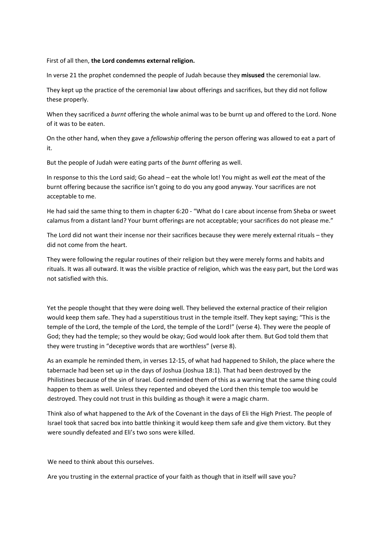## First of all then, **the Lord condemns external religion.**

In verse 21 the prophet condemned the people of Judah because they **misused** the ceremonial law.

They kept up the practice of the ceremonial law about offerings and sacrifices, but they did not follow these properly.

When they sacrificed a *burnt* offering the whole animal was to be burnt up and offered to the Lord. None of it was to be eaten.

On the other hand, when they gave a *fellowship* offering the person offering was allowed to eat a part of it.

But the people of Judah were eating parts of the *burnt* offering as well.

In response to this the Lord said; Go ahead – eat the whole lot! You might as well *eat* the meat of the burnt offering because the sacrifice isn't going to do you any good anyway. Your sacrifices are not acceptable to me.

He had said the same thing to them in chapter 6:20 - "What do I care about incense from Sheba or sweet calamus from a distant land? Your burnt offerings are not acceptable; your sacrifices do not please me."

The Lord did not want their incense nor their sacrifices because they were merely external rituals – they did not come from the heart.

They were following the regular routines of their religion but they were merely forms and habits and rituals. It was all outward. It was the visible practice of religion, which was the easy part, but the Lord was not satisfied with this.

Yet the people thought that they were doing well. They believed the external practice of their religion would keep them safe. They had a superstitious trust in the temple itself. They kept saying; "This is the temple of the Lord, the temple of the Lord, the temple of the Lord!" (verse 4). They were the people of God; they had the temple; so they would be okay; God would look after them. But God told them that they were trusting in "deceptive words that are worthless" (verse 8).

As an example he reminded them, in verses 12‐15, of what had happened to Shiloh, the place where the tabernacle had been set up in the days of Joshua (Joshua 18:1). That had been destroyed by the Philistines because of the sin of Israel. God reminded them of this as a warning that the same thing could happen to them as well. Unless they repented and obeyed the Lord then this temple too would be destroyed. They could not trust in this building as though it were a magic charm.

Think also of what happened to the Ark of the Covenant in the days of Eli the High Priest. The people of Israel took that sacred box into battle thinking it would keep them safe and give them victory. But they were soundly defeated and Eli's two sons were killed.

We need to think about this ourselves.

Are you trusting in the external practice of your faith as though that in itself will save you?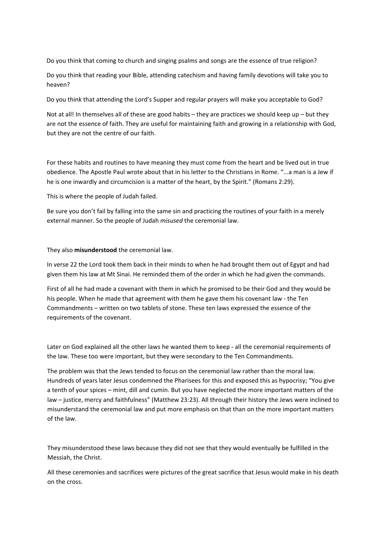Do you think that coming to church and singing psalms and songs are the essence of true religion?

Do you think that reading your Bible, attending catechism and having family devotions will take you to heaven?

Do you think that attending the Lord's Supper and regular prayers will make you acceptable to God?

Not at all! In themselves all of these are good habits – they are practices we should keep up – but they are not the essence of faith. They are useful for maintaining faith and growing in a relationship with God, but they are not the centre of our faith.

For these habits and routines to have meaning they must come from the heart and be lived out in true obedience. The Apostle Paul wrote about that in his letter to the Christians in Rome. "...a man is a Jew if he is one inwardly and circumcision is a matter of the heart, by the Spirit." (Romans 2:29).

This is where the people of Judah failed.

Be sure you don't fail by falling into the same sin and practicing the routines of your faith in a merely external manner. So the people of Judah *misused* the ceremonial law.

They also **misunderstood** the ceremonial law.

In verse 22 the Lord took them back in their minds to when he had brought them out of Egypt and had given them his law at Mt Sinai. He reminded them of the order in which he had given the commands.

First of all he had made a covenant with them in which he promised to be their God and they would be his people. When he made that agreement with them he gave them his covenant law - the Ten Commandments – written on two tablets of stone. These ten laws expressed the essence of the requirements of the covenant.

Later on God explained all the other laws he wanted them to keep - all the ceremonial requirements of the law. These too were important, but they were secondary to the Ten Commandments.

The problem was that the Jews tended to focus on the ceremonial law rather than the moral law. Hundreds of years later Jesus condemned the Pharisees for this and exposed this as hypocrisy; "You give a tenth of your spices – mint, dill and cumin. But you have neglected the more important matters of the law – justice, mercy and faithfulness" (Matthew 23:23). All through their history the Jews were inclined to misunderstand the ceremonial law and put more emphasis on that than on the more important matters of the law.

They misunderstood these laws because they did not see that they would eventually be fulfilled in the Messiah, the Christ.

All these ceremonies and sacrifices were pictures of the great sacrifice that Jesus would make in his death on the cross.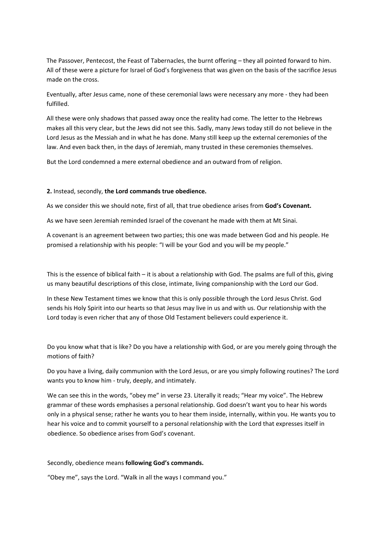The Passover, Pentecost, the Feast of Tabernacles, the burnt offering – they all pointed forward to him. All of these were a picture for Israel of God's forgiveness that was given on the basis of the sacrifice Jesus made on the cross.

Eventually, after Jesus came, none of these ceremonial laws were necessary any more ‐ they had been fulfilled.

All these were only shadows that passed away once the reality had come. The letter to the Hebrews makes all this very clear, but the Jews did not see this. Sadly, many Jews today still do not believe in the Lord Jesus as the Messiah and in what he has done. Many still keep up the external ceremonies of the law. And even back then, in the days of Jeremiah, many trusted in these ceremonies themselves.

But the Lord condemned a mere external obedience and an outward from of religion.

## **2.** Instead, secondly, **the Lord commands true obedience.**

As we consider this we should note, first of all, that true obedience arises from **God's Covenant.**

As we have seen Jeremiah reminded Israel of the covenant he made with them at Mt Sinai.

A covenant is an agreement between two parties; this one was made between God and his people. He promised a relationship with his people: "I will be your God and you will be my people."

This is the essence of biblical faith – it is about a relationship with God. The psalms are full of this, giving us many beautiful descriptions of this close, intimate, living companionship with the Lord our God.

In these New Testament times we know that this is only possible through the Lord Jesus Christ. God sends his Holy Spirit into our hearts so that Jesus may live in us and with us. Our relationship with the Lord today is even richer that any of those Old Testament believers could experience it.

Do you know what that is like? Do you have a relationship with God, or are you merely going through the motions of faith?

Do you have a living, daily communion with the Lord Jesus, or are you simply following routines? The Lord wants you to know him ‐ truly, deeply, and intimately.

We can see this in the words, "obey me" in verse 23. Literally it reads; "Hear my voice". The Hebrew grammar of these words emphasises a personal relationship. God doesn't want you to hear his words only in a physical sense; rather he wants you to hear them inside, internally, within you. He wants you to hear his voice and to commit yourself to a personal relationship with the Lord that expresses itself in obedience. So obedience arises from God's covenant.

Secondly, obedience means **following God's commands.**

"Obey me", says the Lord. "Walk in all the ways I command you."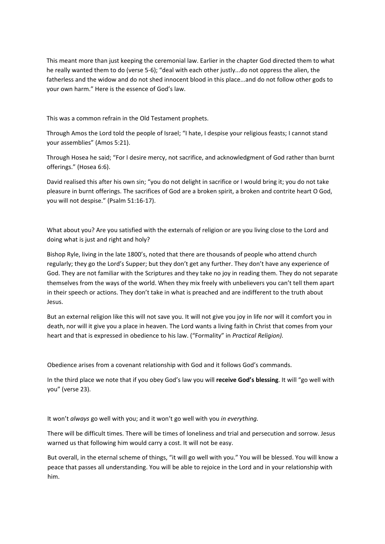This meant more than just keeping the ceremonial law. Earlier in the chapter God directed them to what he really wanted them to do (verse 5-6); "deal with each other justly...do not oppress the alien, the fatherless and the widow and do not shed innocent blood in this place...and do not follow other gods to your own harm." Here is the essence of God's law.

This was a common refrain in the Old Testament prophets.

Through Amos the Lord told the people of Israel; "I hate, I despise your religious feasts; I cannot stand your assemblies" (Amos 5:21).

Through Hosea he said; "For I desire mercy, not sacrifice, and acknowledgment of God rather than burnt offerings." (Hosea 6:6).

David realised this after his own sin; "you do not delight in sacrifice or I would bring it; you do not take pleasure in burnt offerings. The sacrifices of God are a broken spirit, a broken and contrite heart O God, you will not despise." (Psalm 51:16‐17).

What about you? Are you satisfied with the externals of religion or are you living close to the Lord and doing what is just and right and holy?

Bishop Ryle, living in the late 1800's, noted that there are thousands of people who attend church regularly; they go the Lord's Supper; but they don't get any further. They don't have any experience of God. They are not familiar with the Scriptures and they take no joy in reading them. They do not separate themselves from the ways of the world. When they mix freely with unbelievers you can't tell them apart in their speech or actions. They don't take in what is preached and are indifferent to the truth about Jesus.

But an external religion like this will not save you. It will not give you joy in life nor will it comfort you in death, nor will it give you a place in heaven. The Lord wants a living faith in Christ that comes from your heart and that is expressed in obedience to his law. ("Formality" in *Practical Religion).*

Obedience arises from a covenant relationship with God and it follows God's commands.

In the third place we note that if you obey God's law you will **receive God's blessing**. It will "go well with you" (verse 23).

It won't *always* go well with you; and it won't go well with you *in everything.*

There will be difficult times. There will be times of loneliness and trial and persecution and sorrow. Jesus warned us that following him would carry a cost. It will not be easy.

But overall, in the eternal scheme of things, "it will go well with you." You will be blessed. You will know a peace that passes all understanding. You will be able to rejoice in the Lord and in your relationship with him.